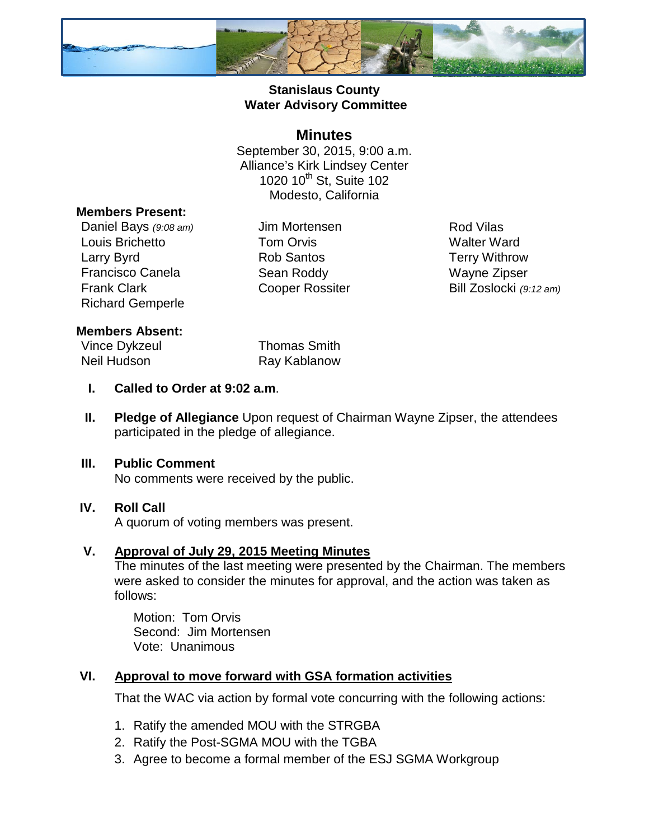

### **Stanislaus County Water Advisory Committee**

### **Minutes**

September 30, 2015, 9:00 a.m. Alliance's Kirk Lindsey Center 1020 10<sup>th</sup> St, Suite 102 Modesto, California

#### **Members Present:**

Daniel Bays (9:08 am) Jim Mortensen Rod Vilas Louis Brichetto **Tom Orvis** Couis Brichetto **Tom Orvis** Couis Alter Ward<br>
Larry Byrd **County County Rob Santos** County Terry Withrov Larry Byrd Rob Santos Terry Withrow Francisco Canela Sean Roddy Wayne Zipser Frank Clark **Cooper Rossiter** Bill Zoslocki *(9:12 am)* Richard Gemperle

#### **Members Absent:**

Vince Dykzeul **Thomas Smith** Neil Hudson Ray Kablanow

- **I. Called to Order at 9:02 a.m**.
- **II. Pledge of Allegiance** Upon request of Chairman Wayne Zipser, the attendees participated in the pledge of allegiance.

# **III. Public Comment**

No comments were received by the public.

# **IV. Roll Call**

A quorum of voting members was present.

#### **V. Approval of July 29, 2015 Meeting Minutes**

The minutes of the last meeting were presented by the Chairman. The members were asked to consider the minutes for approval, and the action was taken as follows:

Motion: Tom Orvis Second: Jim Mortensen Vote: Unanimous

# **VI. Approval to move forward with GSA formation activities**

That the WAC via action by formal vote concurring with the following actions:

- 1. Ratify the amended MOU with the STRGBA
- 2. Ratify the Post-SGMA MOU with the TGBA
- 3. Agree to become a formal member of the ESJ SGMA Workgroup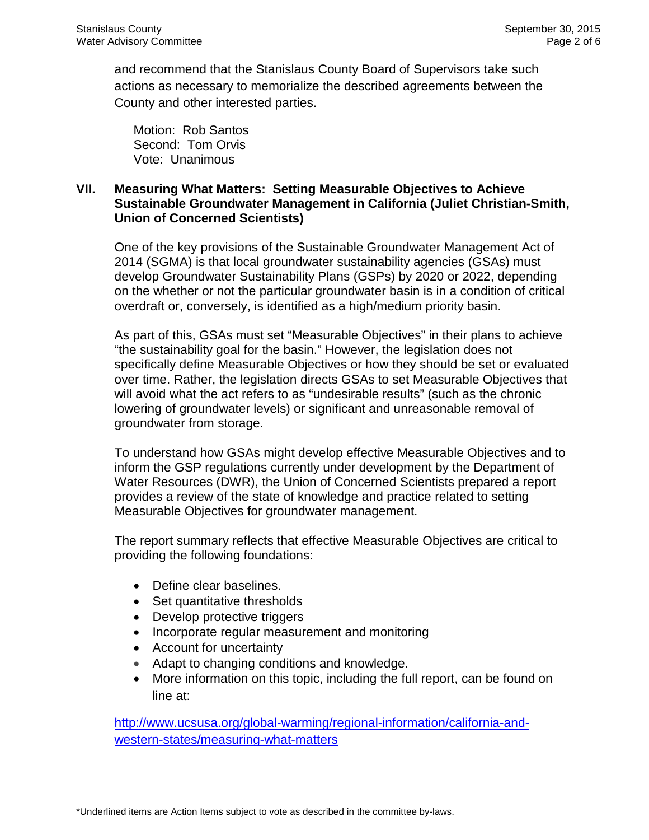and recommend that the Stanislaus County Board of Supervisors take such actions as necessary to memorialize the described agreements between the County and other interested parties.

Motion: Rob Santos Second: Tom Orvis Vote: Unanimous

#### **VII. [Measuring What Matters: Setting Measurable Objectives to Achieve](http://www.ucsusa.org/our-work/global-warming/regional-information/california-and-western-states/measuring-what-matters)  [Sustainable Groundwater Management in California](http://www.ucsusa.org/our-work/global-warming/regional-information/california-and-western-states/measuring-what-matters) (Juliet Christian-Smith, Union of Concerned Scientists)**

One of the key provisions of the Sustainable Groundwater Management Act of 2014 (SGMA) is that local groundwater sustainability agencies (GSAs) must develop Groundwater Sustainability Plans (GSPs) by 2020 or 2022, depending on the whether or not the particular groundwater basin is in a condition of critical overdraft or, conversely, is identified as a high/medium priority basin.

As part of this, GSAs must set "Measurable Objectives" in their plans to achieve "the sustainability goal for the basin." However, the legislation does not specifically define Measurable Objectives or how they should be set or evaluated over time. Rather, the legislation directs GSAs to set Measurable Objectives that will avoid what the act refers to as "undesirable results" (such as the chronic lowering of groundwater levels) or significant and unreasonable removal of groundwater from storage.

To understand how GSAs might develop effective Measurable Objectives and to inform the GSP regulations currently under development by the Department of Water Resources (DWR), the Union of Concerned Scientists prepared a report provides a review of the state of knowledge and practice related to setting Measurable Objectives for groundwater management.

The report summary reflects that effective Measurable Objectives are critical to providing the following foundations:

- Define clear baselines.
- Set quantitative thresholds
- Develop protective triggers
- Incorporate regular measurement and monitoring
- Account for uncertainty
- Adapt to changing conditions and knowledge.
- More information on this topic, including the full report, can be found on line at:

http://www.ucsusa.org/global-warming/regional-information/california-andwestern-states/measuring-what-matters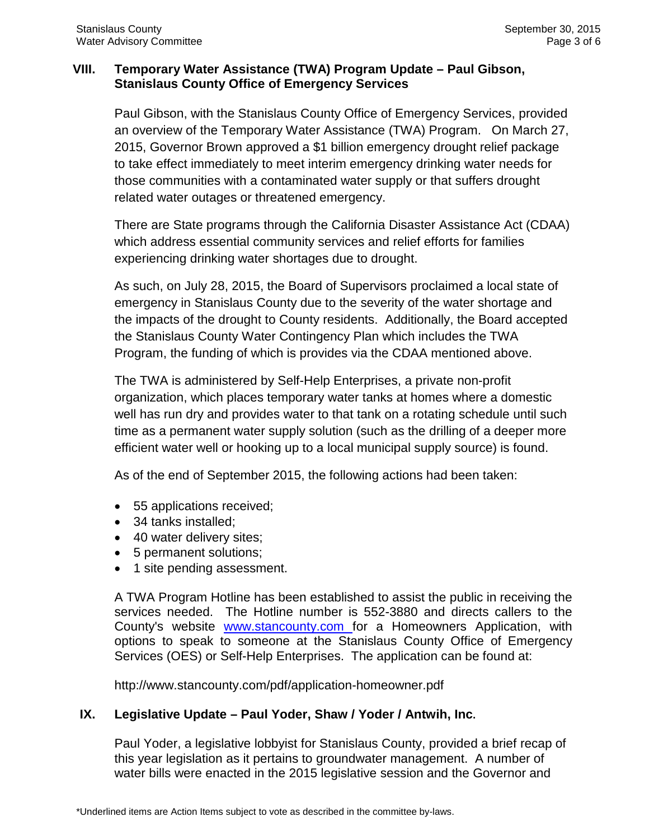### **VIII. Temporary Water Assistance (TWA) Program Update – Paul Gibson, Stanislaus County Office of Emergency Services**

Paul Gibson, with the Stanislaus County Office of Emergency Services, provided an overview of the Temporary Water Assistance (TWA) Program. On March 27, 2015, Governor Brown approved a \$1 billion emergency drought relief package to take effect immediately to meet interim emergency drinking water needs for those communities with a contaminated water supply or that suffers drought related water outages or threatened emergency.

There are State programs through the California Disaster Assistance Act (CDAA) which address essential community services and relief efforts for families experiencing drinking water shortages due to drought.

As such, on July 28, 2015, the Board of Supervisors proclaimed a local state of emergency in Stanislaus County due to the severity of the water shortage and the impacts of the drought to County residents. Additionally, the Board accepted the Stanislaus County Water Contingency Plan which includes the TWA Program, the funding of which is provides via the CDAA mentioned above.

The TWA is administered by Self-Help Enterprises, a private non-profit organization, which places temporary water tanks at homes where a domestic well has run dry and provides water to that tank on a rotating schedule until such time as a permanent water supply solution (such as the drilling of a deeper more efficient water well or hooking up to a local municipal supply source) is found.

As of the end of September 2015, the following actions had been taken:

- 55 applications received;
- 34 tanks installed;
- 40 water delivery sites;
- 5 permanent solutions;
- 1 site pending assessment.

A TWA Program Hotline has been established to assist the public in receiving the services needed. The Hotline number is 552-3880 and directs callers to the County's website www.stancounty.com for a Homeowners Application, with options to speak to someone at the Stanislaus County Office of Emergency Services (OES) or Self-Help Enterprises. The application can be found at:

http://www.stancounty.com/pdf/application-homeowner.pdf

# **IX. Legislative Update – Paul Yoder, Shaw / Yoder / Antwih, Inc.**

Paul Yoder, a legislative lobbyist for Stanislaus County, provided a brief recap of this year legislation as it pertains to groundwater management. A number of water bills were enacted in the 2015 legislative session and the Governor and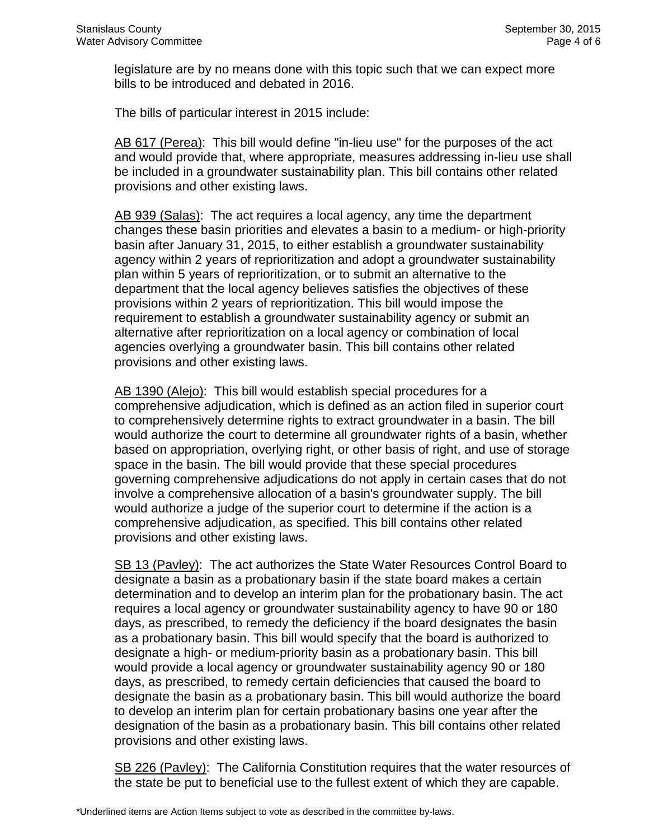legislature are by no means done with this topic such that we can expect more bills to be introduced and debated in 2016.

The bills of particular interest in 2015 include:

AB 617 (Perea): This bill would define "in-lieu use" for the purposes of the act and would provide that, where appropriate, measures addressing in-lieu use shall be included in a groundwater sustainability plan. This bill contains other related provisions and other existing laws.

AB 939 (Salas): The act requires a local agency, any time the department changes these basin priorities and elevates a basin to a medium- or high-priority basin after January 31, 2015, to either establish a groundwater sustainability agency within 2 years of reprioritization and adopt a groundwater sustainability plan within 5 years of reprioritization, or to submit an alternative to the department that the local agency believes satisfies the objectives of these provisions within 2 years of reprioritization. This bill would impose the requirement to establish a groundwater sustainability agency or submit an alternative after reprioritization on a local agency or combination of local agencies overlying a groundwater basin. This bill contains other related provisions and other existing laws.

AB 1390 (Alejo): This bill would establish special procedures for a comprehensive adjudication, which is defined as an action filed in superior court to comprehensively determine rights to extract groundwater in a basin. The bill would authorize the court to determine all groundwater rights of a basin, whether based on appropriation, overlying right, or other basis of right, and use of storage space in the basin. The bill would provide that these special procedures governing comprehensive adjudications do not apply in certain cases that do not involve a comprehensive allocation of a basin's groundwater supply. The bill would authorize a judge of the superior court to determine if the action is a comprehensive adjudication, as specified. This bill contains other related provisions and other existing laws.

SB 13 (Pavley): The act authorizes the State Water Resources Control Board to designate a basin as a probationary basin if the state board makes a certain determination and to develop an interim plan for the probationary basin. The act requires a local agency or groundwater sustainability agency to have 90 or 180 days, as prescribed, to remedy the deficiency if the board designates the basin as a probationary basin. This bill would specify that the board is authorized to designate a high- or medium-priority basin as a probationary basin. This bill would provide a local agency or groundwater sustainability agency 90 or 180 days, as prescribed, to remedy certain deficiencies that caused the board to designate the basin as a probationary basin. This bill would authorize the board to develop an interim plan for certain probationary basins one year after the designation of the basin as a probationary basin. This bill contains other related provisions and other existing laws.

SB 226 (Pavley): The California Constitution requires that the water resources of the state be put to beneficial use to the fullest extent of which they are capable.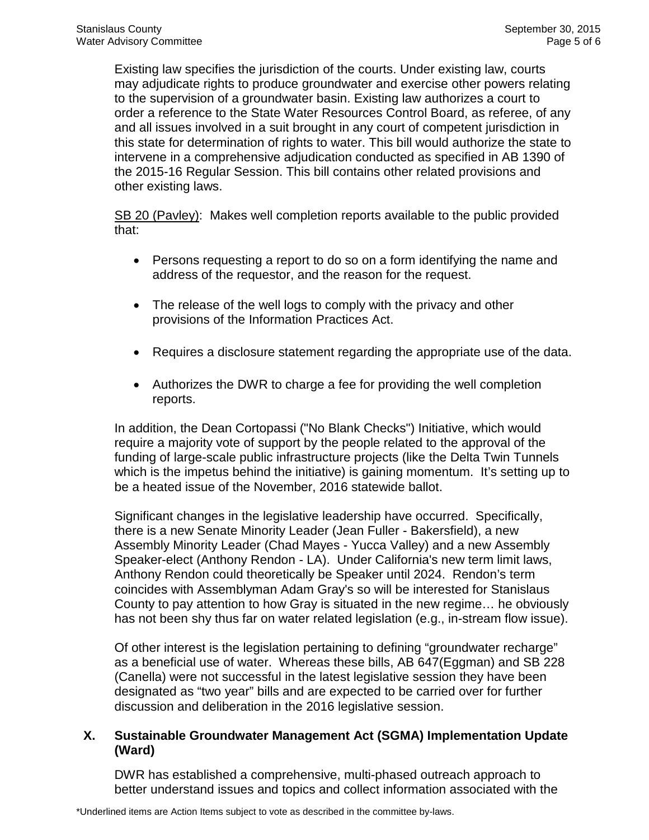Existing law specifies the jurisdiction of the courts. Under existing law, courts may adjudicate rights to produce groundwater and exercise other powers relating to the supervision of a groundwater basin. Existing law authorizes a court to order a reference to the State Water Resources Control Board, as referee, of any and all issues involved in a suit brought in any court of competent jurisdiction in this state for determination of rights to water. This bill would authorize the state to intervene in a comprehensive adjudication conducted as specified in AB 1390 of the 2015-16 Regular Session. This bill contains other related provisions and other existing laws.

SB 20 (Pavley): Makes well completion reports available to the public provided that:

- Persons requesting a report to do so on a form identifying the name and address of the requestor, and the reason for the request.
- The release of the well logs to comply with the privacy and other provisions of the Information Practices Act.
- Requires a disclosure statement regarding the appropriate use of the data.
- Authorizes the DWR to charge a fee for providing the well completion reports.

In addition, the Dean Cortopassi ("No Blank Checks") Initiative, which would require a majority vote of support by the people related to the approval of the funding of large-scale public infrastructure projects (like the Delta Twin Tunnels which is the impetus behind the initiative) is gaining momentum. It's setting up to be a heated issue of the November, 2016 statewide ballot.

Significant changes in the legislative leadership have occurred. Specifically, there is a new Senate Minority Leader (Jean Fuller - Bakersfield), a new Assembly Minority Leader (Chad Mayes - Yucca Valley) and a new Assembly Speaker-elect (Anthony Rendon - LA). Under California's new term limit laws, Anthony Rendon could theoretically be Speaker until 2024. Rendon's term coincides with Assemblyman Adam Gray's so will be interested for Stanislaus County to pay attention to how Gray is situated in the new regime… he obviously has not been shy thus far on water related legislation (e.g., in-stream flow issue).

Of other interest is the legislation pertaining to defining "groundwater recharge" as a beneficial use of water. Whereas these bills, AB 647(Eggman) and SB 228 (Canella) were not successful in the latest legislative session they have been designated as "two year" bills and are expected to be carried over for further discussion and deliberation in the 2016 legislative session.

### **X. Sustainable Groundwater Management Act (SGMA) Implementation Update (Ward)**

DWR has established a comprehensive, multi-phased outreach approach to better understand issues and topics and collect information associated with the